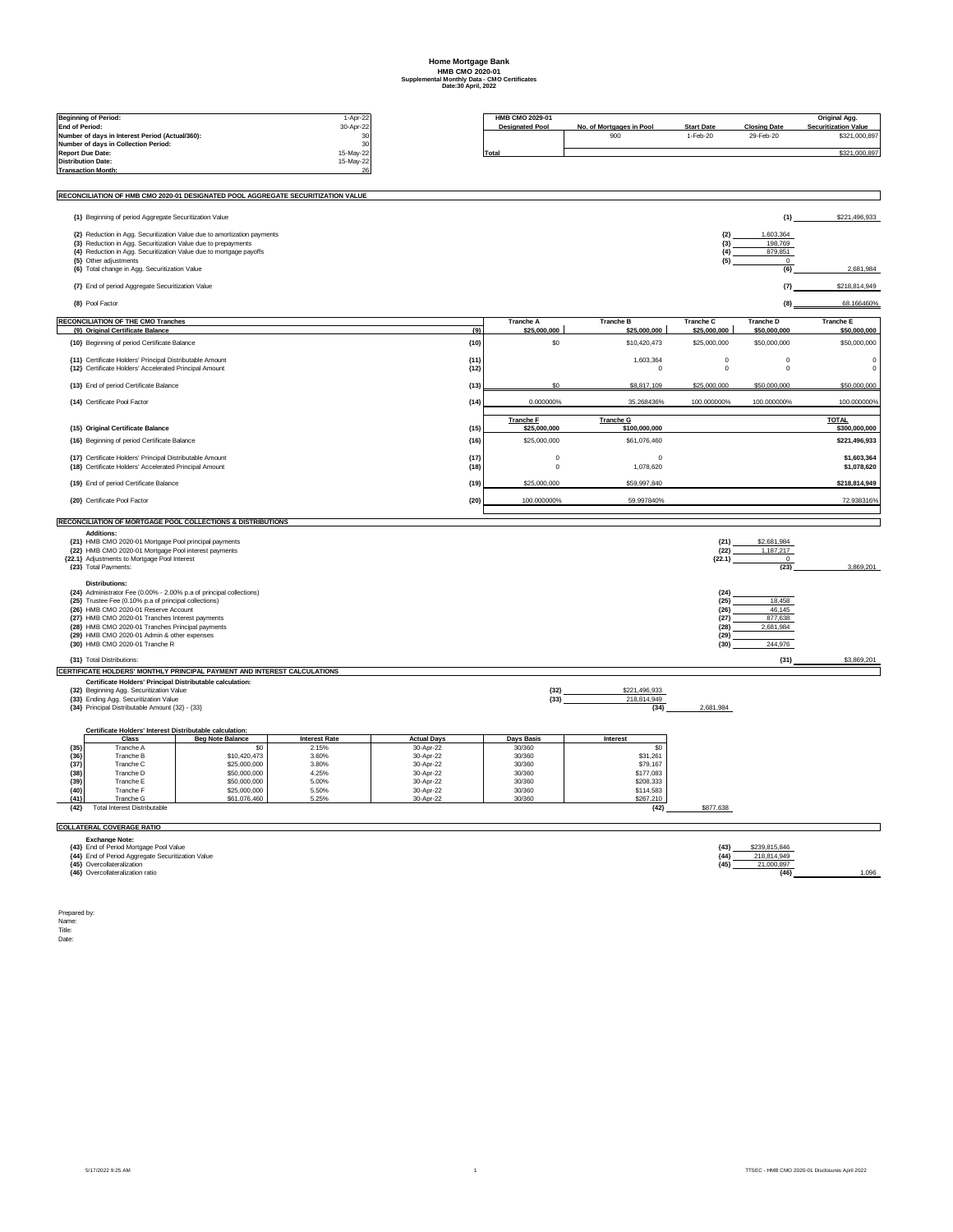## **Home Mortgage Bank HMB CMO 2020-01 Supplemental Monthly Data - CMO Certificates Date:30 April, 2022**

|                       |                                                                                                                    |                                                                                  |                               |                        | HMB CMO 2029-01             |                                  |                           |                                  |                                              |
|-----------------------|--------------------------------------------------------------------------------------------------------------------|----------------------------------------------------------------------------------|-------------------------------|------------------------|-----------------------------|----------------------------------|---------------------------|----------------------------------|----------------------------------------------|
| <b>End of Period:</b> | <b>Beginning of Period:</b>                                                                                        |                                                                                  | 1-Apr-22<br>30-Apr-22         |                        | <b>Designated Pool</b>      | No. of Mortgages in Pool         | <b>Start Date</b>         | <b>Closing Date</b>              | Original Agg.<br><b>Securitization Value</b> |
|                       | Number of days in Interest Period (Actual/360):                                                                    |                                                                                  | 30                            |                        |                             | 900                              | 1-Feb-20                  | 29-Feb-20                        | \$321.000.897                                |
|                       | Number of days in Collection Period:                                                                               |                                                                                  | 30                            |                        |                             |                                  |                           |                                  |                                              |
|                       | <b>Report Due Date:</b><br><b>Distribution Date:</b>                                                               |                                                                                  | 15-May-22<br>15-May-22        |                        | Total                       |                                  |                           |                                  | \$321,000,897                                |
|                       | <b>Transaction Month</b>                                                                                           |                                                                                  | 26                            |                        |                             |                                  |                           |                                  |                                              |
|                       |                                                                                                                    |                                                                                  |                               |                        |                             |                                  |                           |                                  |                                              |
|                       |                                                                                                                    | RECONCILIATION OF HMB CMO 2020-01 DESIGNATED POOL AGGREGATE SECURITIZATION VALUE |                               |                        |                             |                                  |                           |                                  |                                              |
|                       | {1} Beginning of period Aggregate Securitization Value                                                             |                                                                                  |                               |                        |                             |                                  |                           | ${1}$                            | \$221,496,933                                |
|                       |                                                                                                                    | {2} Reduction in Agg. Securitization Value due to amortization payments          |                               |                        |                             |                                  | ${2}$                     | 1,603,364                        |                                              |
|                       | {3} Reduction in Agg. Securitization Value due to prepayments                                                      |                                                                                  |                               |                        |                             |                                  | ${3}$<br>${4}$            | 198,769<br>879,851               |                                              |
|                       | {4} Reduction in Agg. Securitization Value due to mortgage payoffs<br>{5} Other adjustments                        |                                                                                  |                               |                        |                             |                                  | ${5}$                     | $^{\circ}$                       |                                              |
|                       | {6} Total change in Agg. Securitization Value                                                                      |                                                                                  |                               |                        |                             |                                  |                           | ${6}$                            | 2.681.984                                    |
|                       | {7} End of period Aggregate Securitization Value                                                                   |                                                                                  |                               |                        |                             |                                  |                           | $\{7\}$                          | \$218,814,949                                |
|                       | {8} Pool Factor                                                                                                    |                                                                                  |                               |                        |                             |                                  |                           | ${8}$                            | 68.166460%                                   |
|                       | <b>RECONCILIATION OF THE CMO Tranches</b><br>{9} Original Certificate Balance                                      |                                                                                  |                               | ${9}$                  | Tranche A<br>\$25,000,000   | <b>Tranche B</b><br>\$25,000,000 | Tranche C<br>\$25,000,000 | <b>Tranche D</b><br>\$50,000,000 | Tranche E<br>\$50,000,000                    |
|                       | {10} Beginning of period Certificate Balance                                                                       |                                                                                  |                               | ${10}$                 | \$0                         | \$10,420,473                     | \$25,000,000              | \$50,000,000                     | \$50,000,000                                 |
|                       | <b>{11} Certificate Holders' Principal Distributable Amount</b>                                                    |                                                                                  |                               | ${11}$                 |                             | 1.603.364                        | $\Omega$                  | $\Omega$                         | -C                                           |
|                       | {12} Certificate Holders' Accelerated Principal Amount                                                             |                                                                                  |                               | ${12}$                 |                             | $\mathbf 0$                      | $\mathbf 0$               | $\mathbf 0$                      | $^{\circ}$                                   |
|                       | {13} End of period Certificate Balance                                                                             |                                                                                  |                               | ${13}$                 | s٥                          | \$8,817,109                      | \$25,000,000              | \$50,000,000                     | \$50,000,000                                 |
|                       | {14} Certificate Pool Factor                                                                                       |                                                                                  |                               | ${14}$                 | 0.000000%                   | 35.268436%                       | 100.000000%               | 100.000000%                      | 100.0000009                                  |
|                       |                                                                                                                    |                                                                                  |                               |                        | <b>Tranche F</b>            | <b>Tranche G</b>                 |                           |                                  | <b>TOTAL</b>                                 |
|                       | {15} Original Certificate Balance                                                                                  |                                                                                  |                               | (15)                   | \$25,000,000                | \$100,000,000                    |                           |                                  | \$300,000,000                                |
|                       | {16} Beginning of period Certificate Balance                                                                       |                                                                                  |                               | ${16}$                 | \$25,000,000                | \$61,076,460                     |                           |                                  | \$221,496,933                                |
|                       | {17} Certificate Holders' Principal Distributable Amount<br>{18} Certificate Holders' Accelerated Principal Amount |                                                                                  |                               | ${17}$<br>${18}$       | $\mathbf 0$<br>$\mathbf 0$  | $\Omega$<br>1,078,620            |                           |                                  | \$1,603,364<br>\$1,078,620                   |
|                       | {19} End of period Certificate Balance                                                                             |                                                                                  |                               | ${19}$                 | \$25,000,000                | \$59,997,840                     |                           |                                  | \$218,814,949                                |
|                       | {20} Certificate Pool Factor                                                                                       |                                                                                  |                               | ${20}$                 | 100.000000%                 | 59.997840%                       |                           |                                  | 72.938316%                                   |
|                       |                                                                                                                    | RECONCILIATION OF MORTGAGE POOL COLLECTIONS & DISTRIBUTIONS                      |                               |                        |                             |                                  |                           |                                  |                                              |
|                       | <b>Additions:</b>                                                                                                  |                                                                                  |                               |                        |                             |                                  |                           |                                  |                                              |
|                       | {21} HMB CMO 2020-01 Mortgage Pool principal payments<br>{22} HMB CMO 2020-01 Mortgage Pool interest payments      |                                                                                  |                               |                        |                             |                                  | ${21}$<br>${22}$          | \$2,681,984<br>1,187,217         |                                              |
|                       | {22.1} Adjustments to Mortgage Pool Interest                                                                       |                                                                                  |                               |                        |                             |                                  | ${22.1}$                  | $\mathbf{0}$                     |                                              |
|                       | {23} Total Payments:                                                                                               |                                                                                  |                               |                        |                             |                                  |                           | ${23}$                           | 3,869,201                                    |
|                       | <b>Distributions:</b><br>{24} Administrator Fee (0.00% - 2.00% p.a of principal collections)                       |                                                                                  |                               |                        |                             |                                  | ${24}$                    |                                  |                                              |
|                       | {25} Trustee Fee (0.10% p.a of principal collections)                                                              |                                                                                  |                               |                        |                             |                                  | ${25}$                    | 18,458                           |                                              |
|                       | {26} HMB CMO 2020-01 Reserve Account<br>{27} HMB CMO 2020-01 Tranches Interest payments                            |                                                                                  |                               |                        |                             |                                  | ${26}$<br>${27}$          | 46.145<br>877,638                |                                              |
|                       | {28} HMB CMO 2020-01 Tranches Principal payments                                                                   |                                                                                  |                               |                        |                             |                                  | ${28}$                    | 2,681,984                        |                                              |
|                       | {29} HMB CMO 2020-01 Admin & other expenses                                                                        |                                                                                  |                               |                        |                             |                                  | ${29}$                    |                                  |                                              |
|                       | {30} HMB CMO 2020-01 Tranche R                                                                                     |                                                                                  |                               |                        |                             |                                  | ${30}$                    | 244,976                          |                                              |
|                       | {31} Total Distributions:                                                                                          |                                                                                  |                               |                        |                             |                                  |                           | ${31}$                           | \$3,869,201                                  |
|                       |                                                                                                                    | CERTIFICATE HOLDERS' MONTHLY PRINCIPAL PAYMENT AND INTEREST CALCULATIONS         |                               |                        |                             |                                  |                           |                                  |                                              |
|                       | Certificate Holders' Principal Distributable calculation:<br>{32} Beginning Agg. Securitization Value              |                                                                                  |                               |                        | ${32}$                      | \$221,496,933                    |                           |                                  |                                              |
|                       | <b>{33} Ending Agg, Securitization Value</b>                                                                       |                                                                                  |                               |                        | ${33}$                      | 218,814,949                      |                           |                                  |                                              |
|                       | {34} Principal Distributable Amount {32} - {33}                                                                    |                                                                                  |                               |                        |                             | ${34}$                           | 2,681,984                 |                                  |                                              |
|                       | Certificate Holders' Interest Distributable calculation:                                                           |                                                                                  |                               |                        |                             |                                  |                           |                                  |                                              |
| ${35}$                | Class                                                                                                              | <b>Beg Note Balance</b><br>\$0                                                   | <b>Interest Rate</b><br>2.15% | <b>Actual Days</b>     | <b>Days Basis</b><br>30/360 | Interest<br>\$0                  |                           |                                  |                                              |
| ${36}$                | Tranche A<br>Tranche B                                                                                             | \$10,420,473                                                                     | 3.60%                         | 30-Apr-22<br>30-Apr-22 | 30/360                      | \$31,261                         |                           |                                  |                                              |
| ${37}$                | Tranche C                                                                                                          | \$25,000,000                                                                     | 3.80%                         | 30-Apr-22              | 30/360                      | \$79,167                         |                           |                                  |                                              |
| ${38}$<br>${39}$      | Tranche D<br>Tranche E                                                                                             | \$50,000,000<br>\$50,000,000                                                     | 4.25%<br>5.00%                | 30-Apr-22<br>30-Apr-22 | 30/360<br>30/360            | \$177,083<br>\$208,333           |                           |                                  |                                              |
| (40)                  | Tranche F                                                                                                          | \$25,000,000                                                                     | 5.50%                         | 30-Apr-22              | 30/360                      | \$114,583                        |                           |                                  |                                              |
| ${41}$                | Tranche G<br><b>Total Interest Distributable</b>                                                                   | \$61,076,460                                                                     | 5.25%                         | 30-Apr-22              | 30/360                      | \$267,210                        | \$877,638                 |                                  |                                              |
| ${42}$                |                                                                                                                    |                                                                                  |                               |                        |                             | ${42}$                           |                           |                                  |                                              |
|                       | <b>COLLATERAL COVERAGE RATIO</b><br><b>Exchange Note:</b>                                                          |                                                                                  |                               |                        |                             |                                  |                           |                                  |                                              |
|                       | {43} End of Period Mortgage Pool Value                                                                             |                                                                                  |                               |                        |                             |                                  | ${43}$                    | \$239,815,846                    |                                              |
|                       | {44} End of Period Aggregate Securitization Value<br><b>{45}</b> Overcollateralization                             |                                                                                  |                               |                        |                             |                                  | ${44}$<br>${45}$          | 218,814,949<br>21.000.897        |                                              |
|                       | {46} Overcollateralization ratio                                                                                   |                                                                                  |                               |                        |                             |                                  |                           | ${46}$                           | 1.096                                        |

Prepared by: Name: Title: Date: